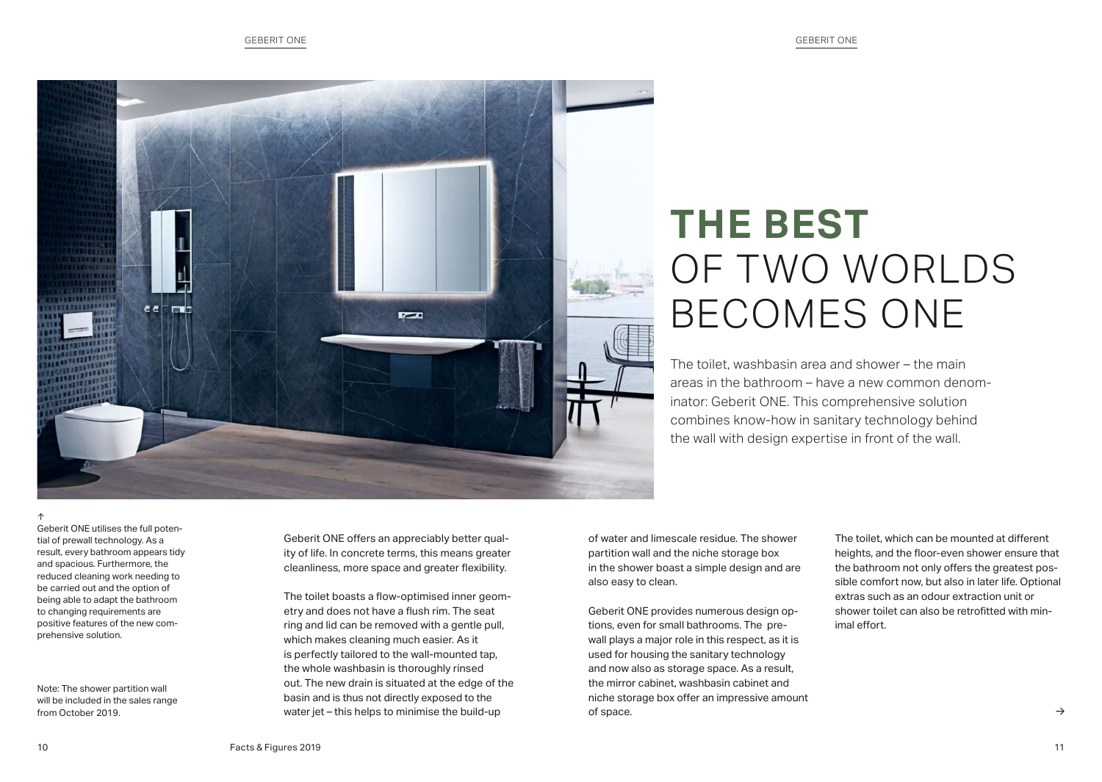

## **THE BEST** OF TWO WORLDS BECOMES ONE

The toilet, washbasin area and shower – the main areas in the bathroom – have a new common denominator: Geberit ONE. This comprehensive solution combines know-how in sanitary technology behind the wall with design expertise in front of the wall.

Geberit ONE utilises the full potential of prewall technology. As a result, every bathroom appears tidy and spacious. Furthermore, the reduced cleaning work needing to be carried out and the option of being able to adapt the bathroom to changing requirements are positive features of the new comprehensive solution.

Note: The shower partition wall will be included in the sales range from October 2019.

Geberit ONE offers an appreciably better quality of life. In concrete terms, this means greater cleanliness, more space and greater flexibility.

The toilet boasts a flow-optimised inner geometry and does not have a flush rim. The seat ring and lid can be removed with a gentle pull, which makes cleaning much easier. As it is perfectly tailored to the wall-mounted tap, the whole washbasin is thoroughly rinsed out. The new drain is situated at the edge of the basin and is thus not directly exposed to the water jet – this helps to minimise the build-up

of water and limescale residue. The shower partition wall and the niche storage box in the shower boast a simple design and are also easy to clean.

Geberit ONE provides numerous design options, even for small bathrooms. The prewall plays a major role in this respect, as it is used for housing the sanitary technology and now also as storage space. As a result, the mirror cabinet, washbasin cabinet and niche storage box offer an impressive amount of space.

The toilet, which can be mounted at different heights, and the floor-even shower ensure that the bathroom not only offers the greatest possible comfort now, but also in later life. Optional extras such as an odour extraction unit or shower toilet can also be retrofitted with minimal effort.